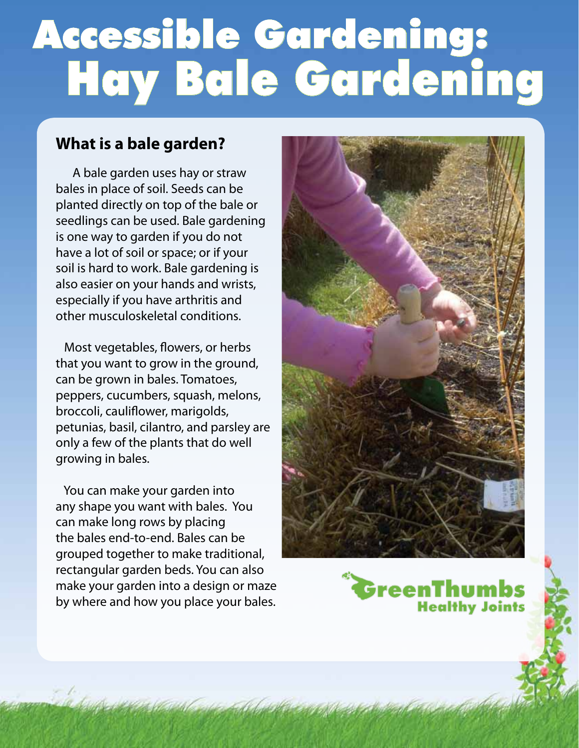# Accessible Gardening: Hay Bale Gardening

## **What is a bale garden?**

 A bale garden uses hay or straw bales in place of soil. Seeds can be planted directly on top of the bale or seedlings can be used. Bale gardening is one way to garden if you do not have a lot of soil or space; or if your soil is hard to work. Bale gardening is also easier on your hands and wrists, especially if you have arthritis and other musculoskeletal conditions.

 Most vegetables, flowers, or herbs that you want to grow in the ground, can be grown in bales. Tomatoes, peppers, cucumbers, squash, melons, broccoli, cauliflower, marigolds, petunias, basil, cilantro, and parsley ar e only a few of the plants that do well growing in bales.

 You can make your garden into any shape you want with bales. You can make long rows by placing the bales end-to-end. Bales can be grouped together to make traditional, rectangular garden beds. You can also make your garden into a design or maze by where and how you place your bales.



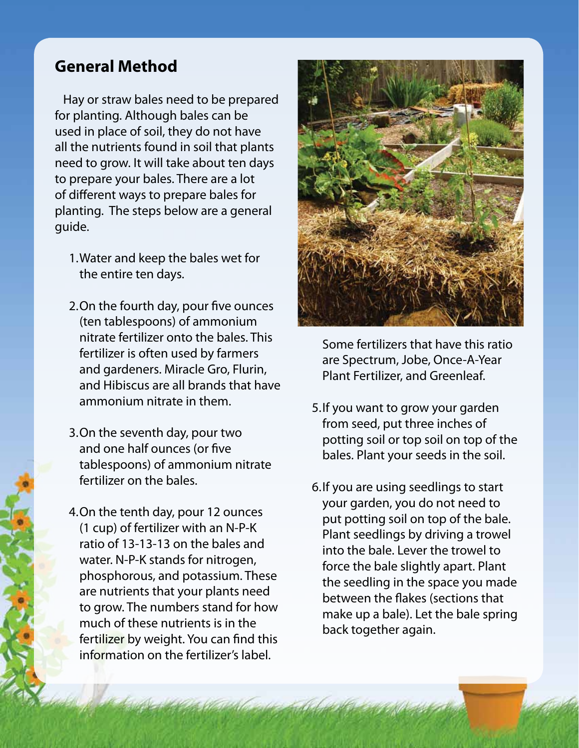### **General Method**

 Hay or straw bales need to be prepared for planting. Although bales can be used in place of soil, they do not have all the nutrients found in soil that plants need to grow. It will take about ten days to prepare your bales. There are a lot of different ways to prepare bales for planting. The steps below are a general guide.

- 1. Water and keep the bales wet for the entire ten days.
- 2. On the fourth day, pour five ounces (ten tablespoons) of ammonium nitrate fertilizer onto the bales. This fertilizer is often used by farmers and gardeners. Miracle Gro, Flurin, and Hibiscus are all brands that have ammonium nitrate in them.
- 3. On the seventh day, pour two and one half ounces (or five tablespoons) of ammonium nitrate fertilizer on the bales.
- 4. On the tenth day, pour 12 ounces (1 cup) of fertilizer with an N-P-K ratio of 13-13-13 on the bales and water. N-P-K stands for nitrogen, phosphorous, and potassium. These are nutrients that your plants need to grow. The numbers stand for how much of these nutrients is in the fertilizer by weight. You can find this information on the fertilizer's label.



Some fertilizers that have this ratio are Spectrum, Jobe, Once-A-Year Plant Fertilizer, and Greenleaf.

- 5. If you want to grow your garden from seed, put three inches of potting soil or top soil on top of the bales. Plant your seeds in the soil.
- 6. If you are using seedlings to start your garden, you do not need to put potting soil on top of the bale. Plant seedlings by driving a trowel into the bale. Lever the trowel to force the bale slightly apart. Plant the seedling in the space you made between the flakes (sections that make up a bale). Let the bale spring back together again.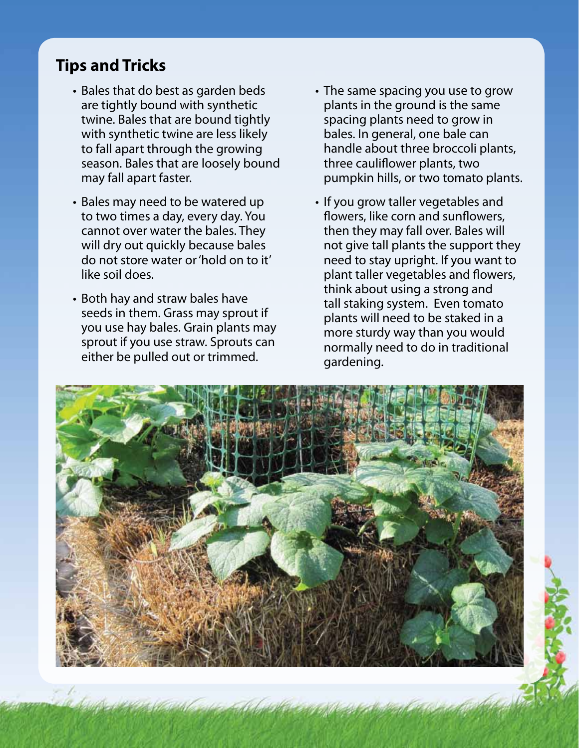## **Tips and Tricks**

- Bales that do best as garden beds are tightly bound with synthetic twine. Bales that are bound tightly with synthetic twine are less likely to fall apart through the growing season. Bales that are loosely bound may fall apart faster.
- Bales may need to be watered up to two times a day, every day. You cannot over water the bales. They will dry out quickly because bales do not store water or 'hold on to it' like soil does.
- Both hay and straw bales have seeds in them. Grass may sprout if you use hay bales. Grain plants may sprout if you use straw. Sprouts can either be pulled out or trimmed.
- The same spacing you use to grow plants in the ground is the same spacing plants need to grow in bales. In general, one bale can handle about three broccoli plants, three cauliflower plants, two pumpkin hills, or two tomato plants.
- If you grow taller vegetables and flowers, like corn and sunflowers, then they may fall over. Bales will not give tall plants the support they need to stay upright. If you want to plant taller vegetables and flowers, think about using a strong and tall staking system. Even tomato plants will need to be staked in a more sturdy way than you would normally need to do in traditional gardening.